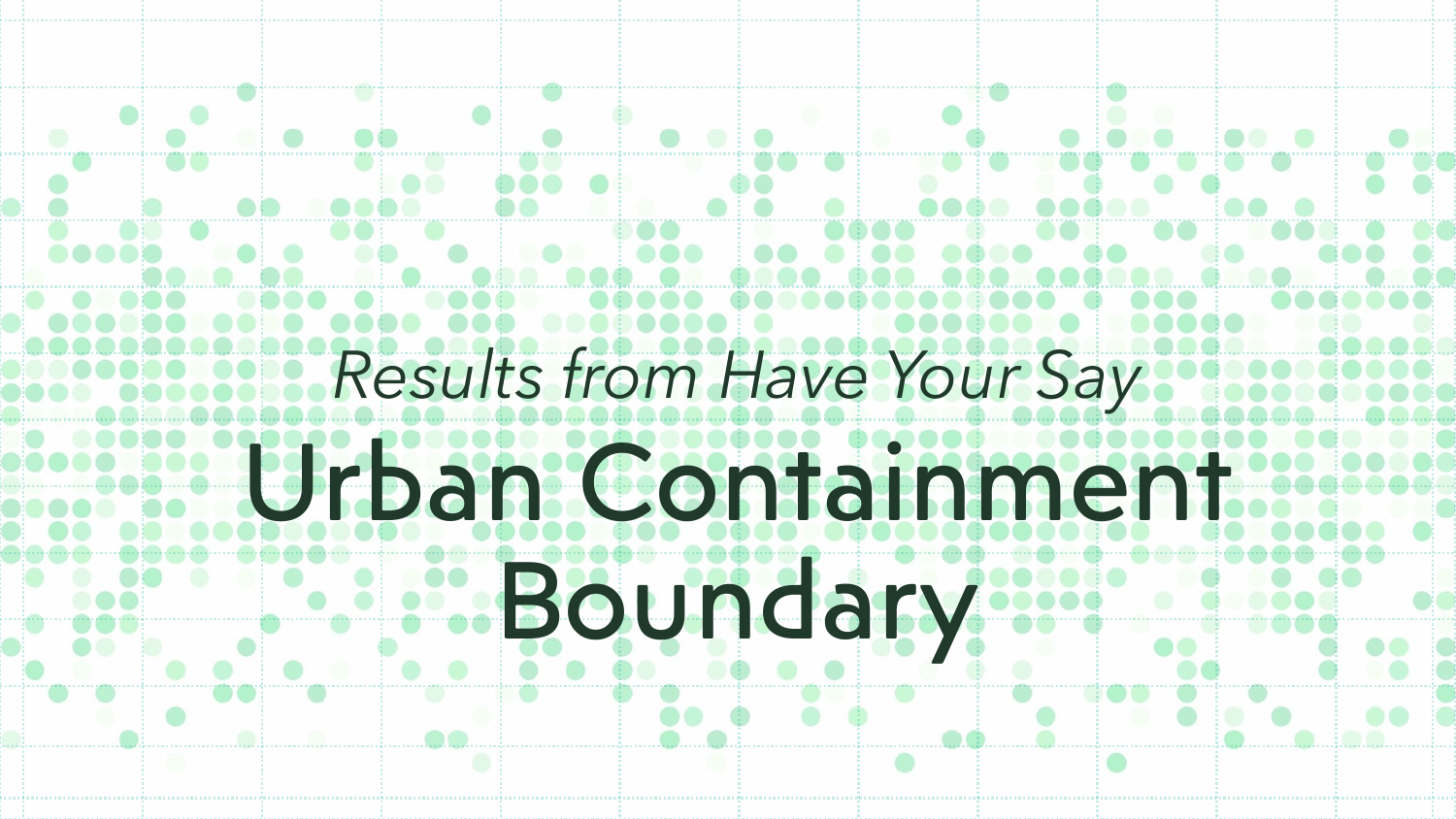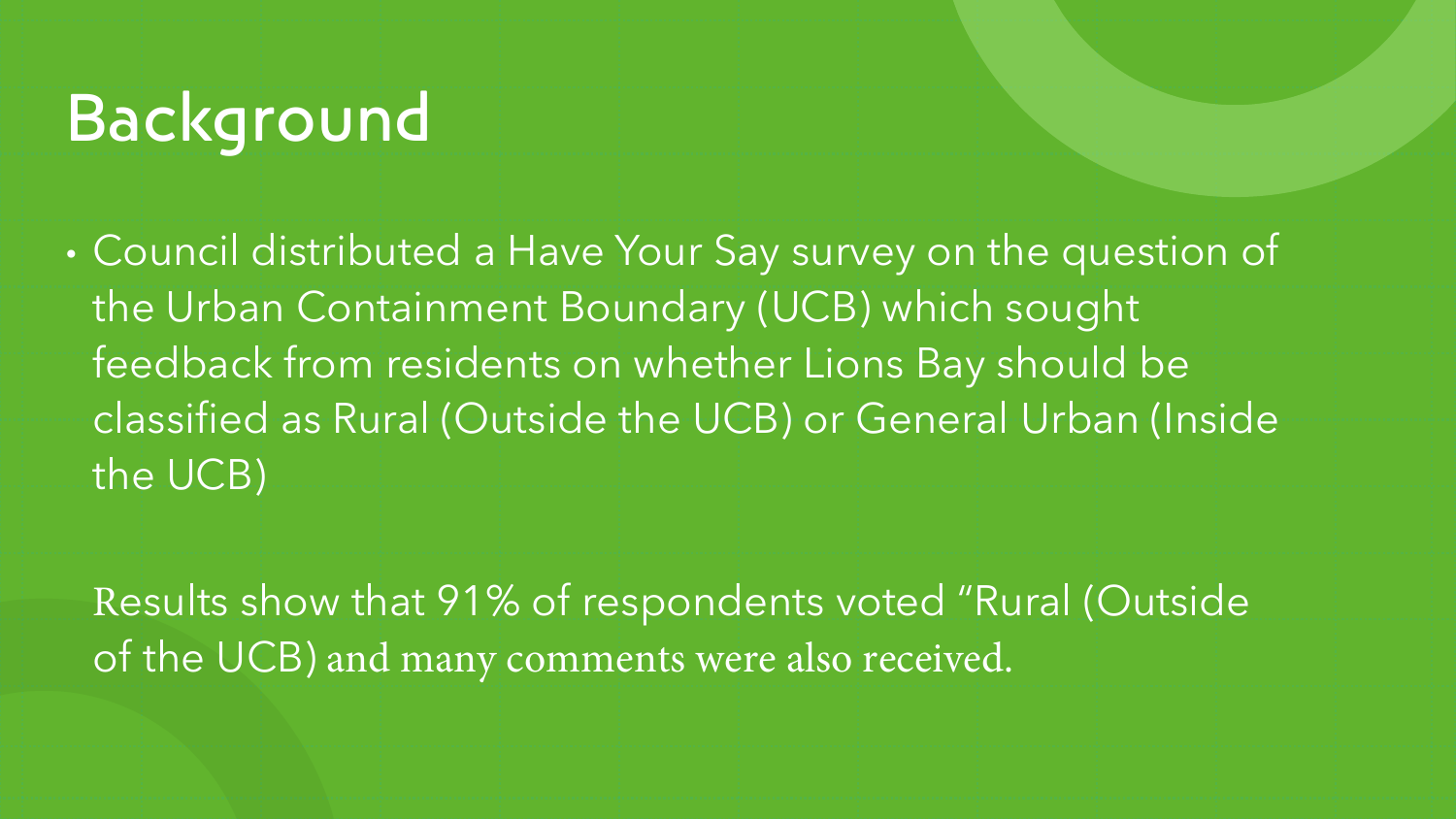## Background

• Council distributed a Have Your Say survey on the question of the Urban Containment Boundary (UCB) which sought feedback from residents on whether Lions Bay should be classified as Rural (Outside the UCB) or General Urban (Inside the UCB)

Results show that 91% of respondents voted "Rural (Outside of the UCB) and many comments were also received.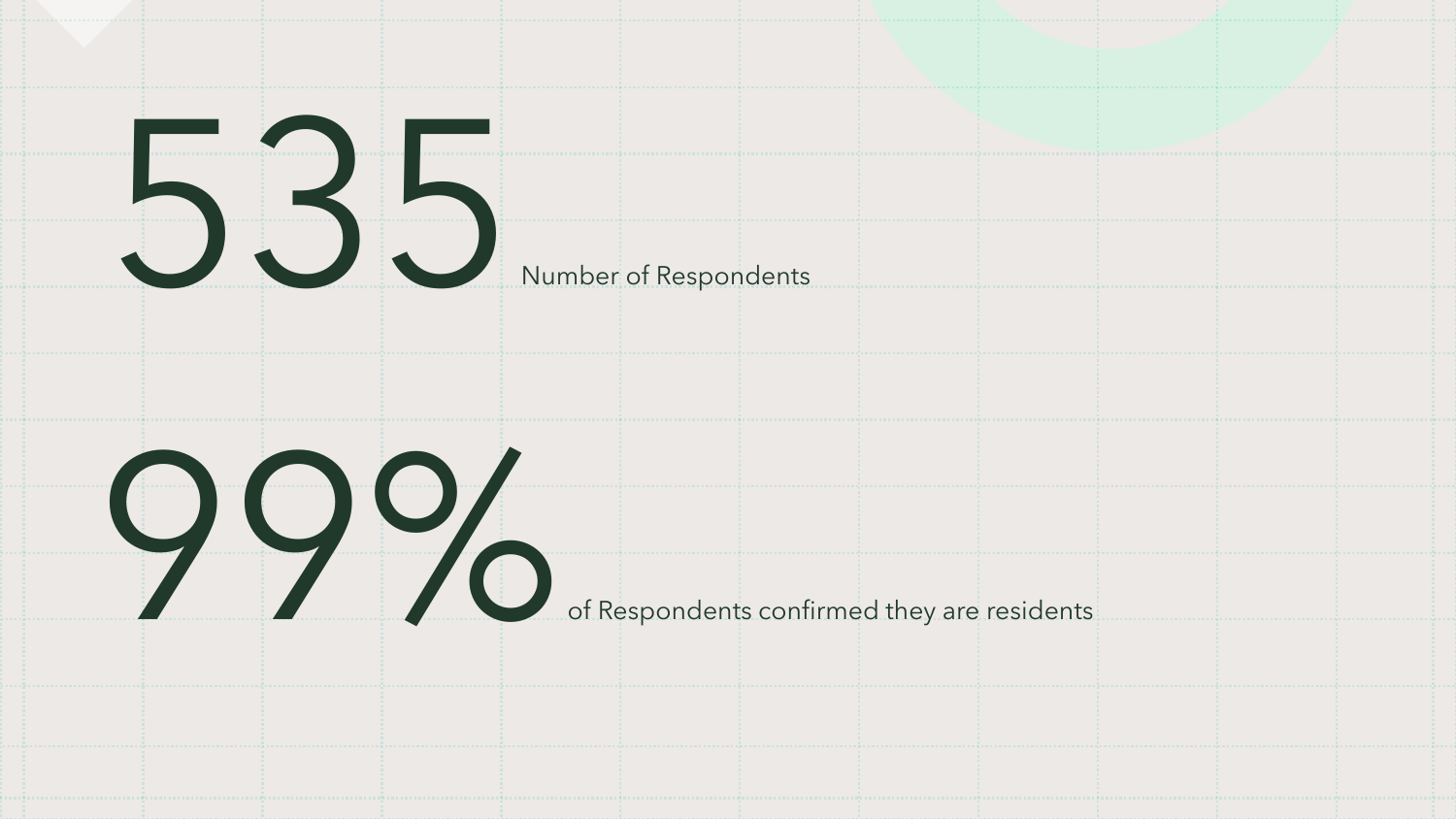

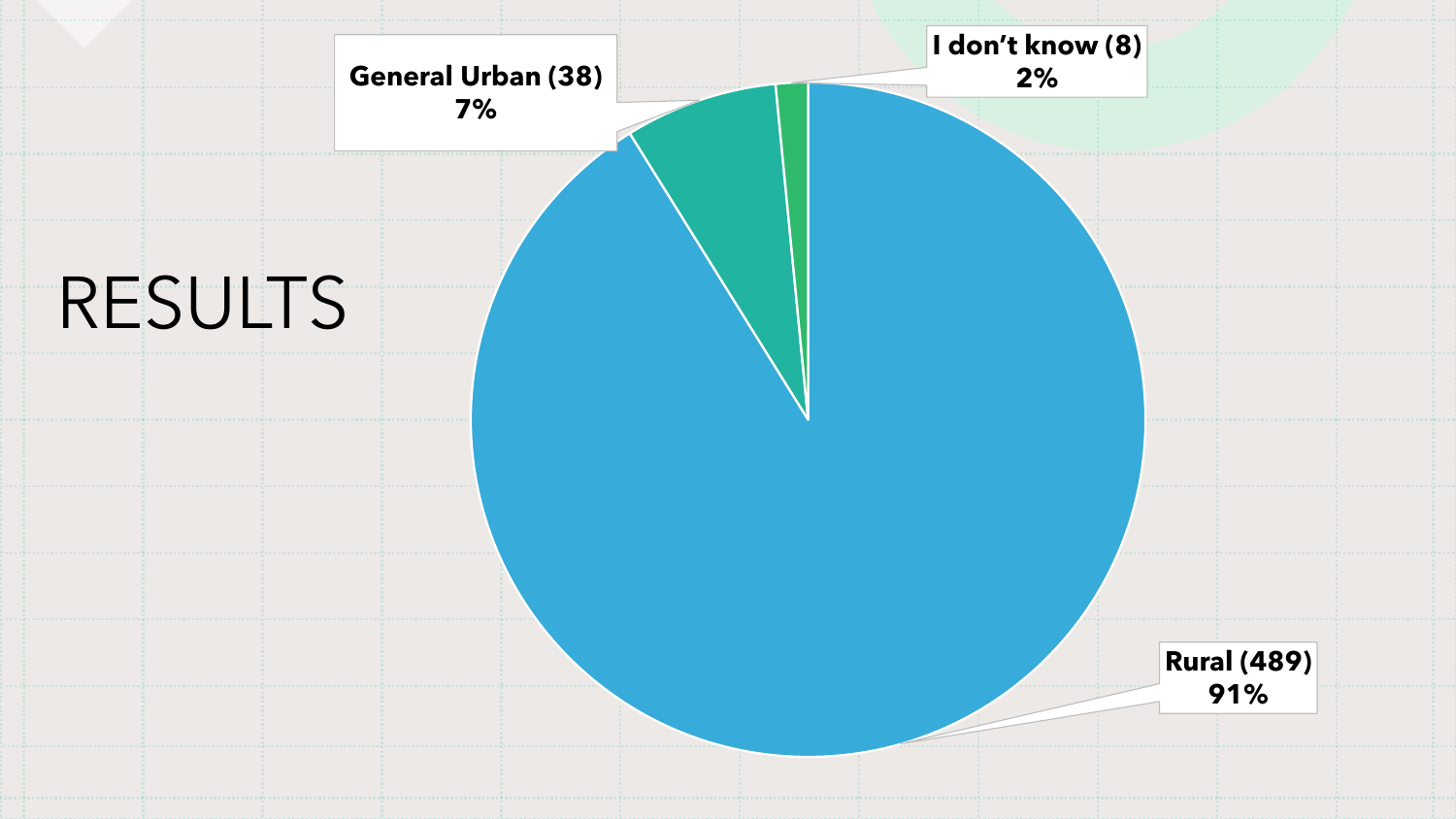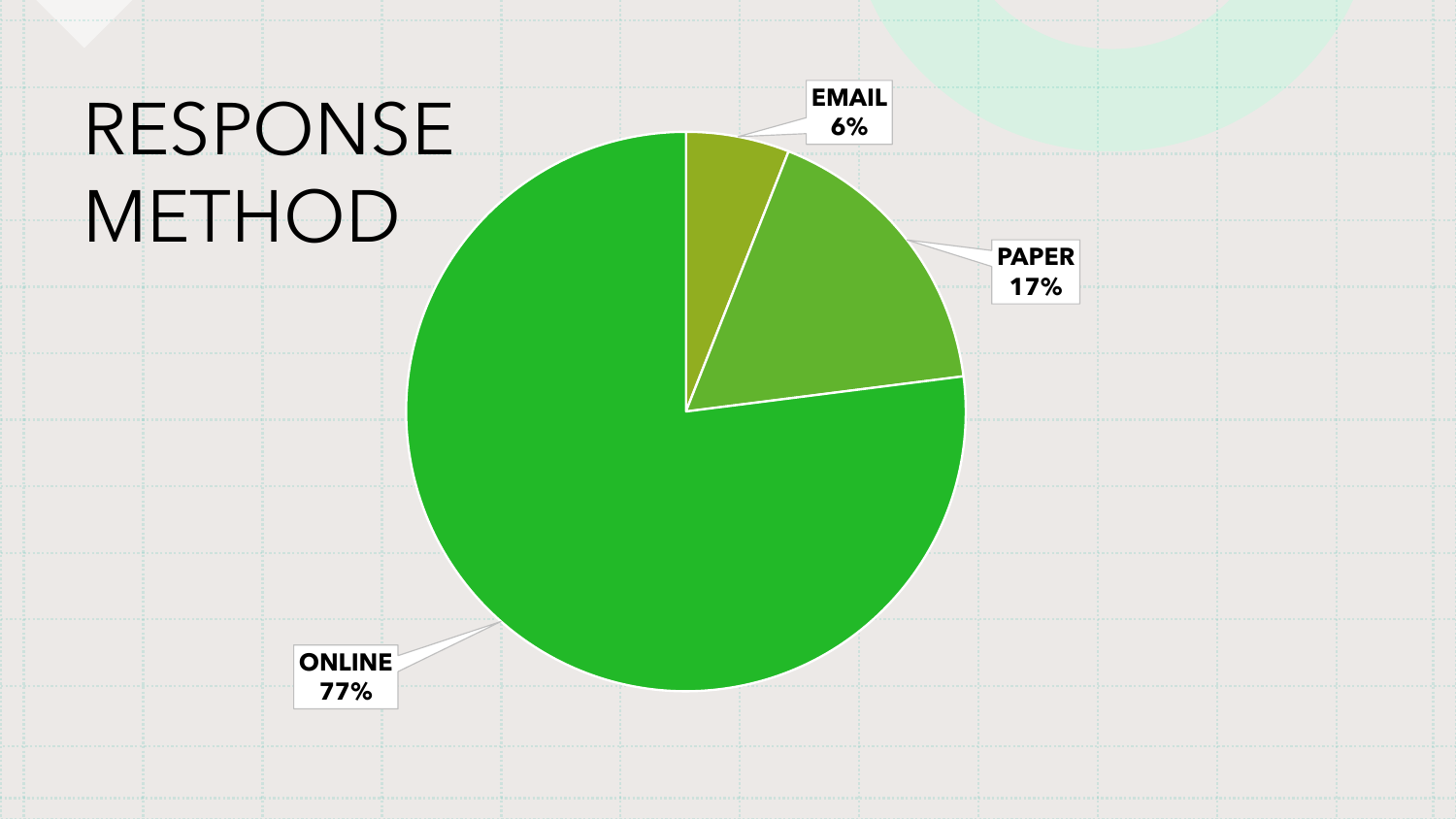# RESPONSE **METHOD**

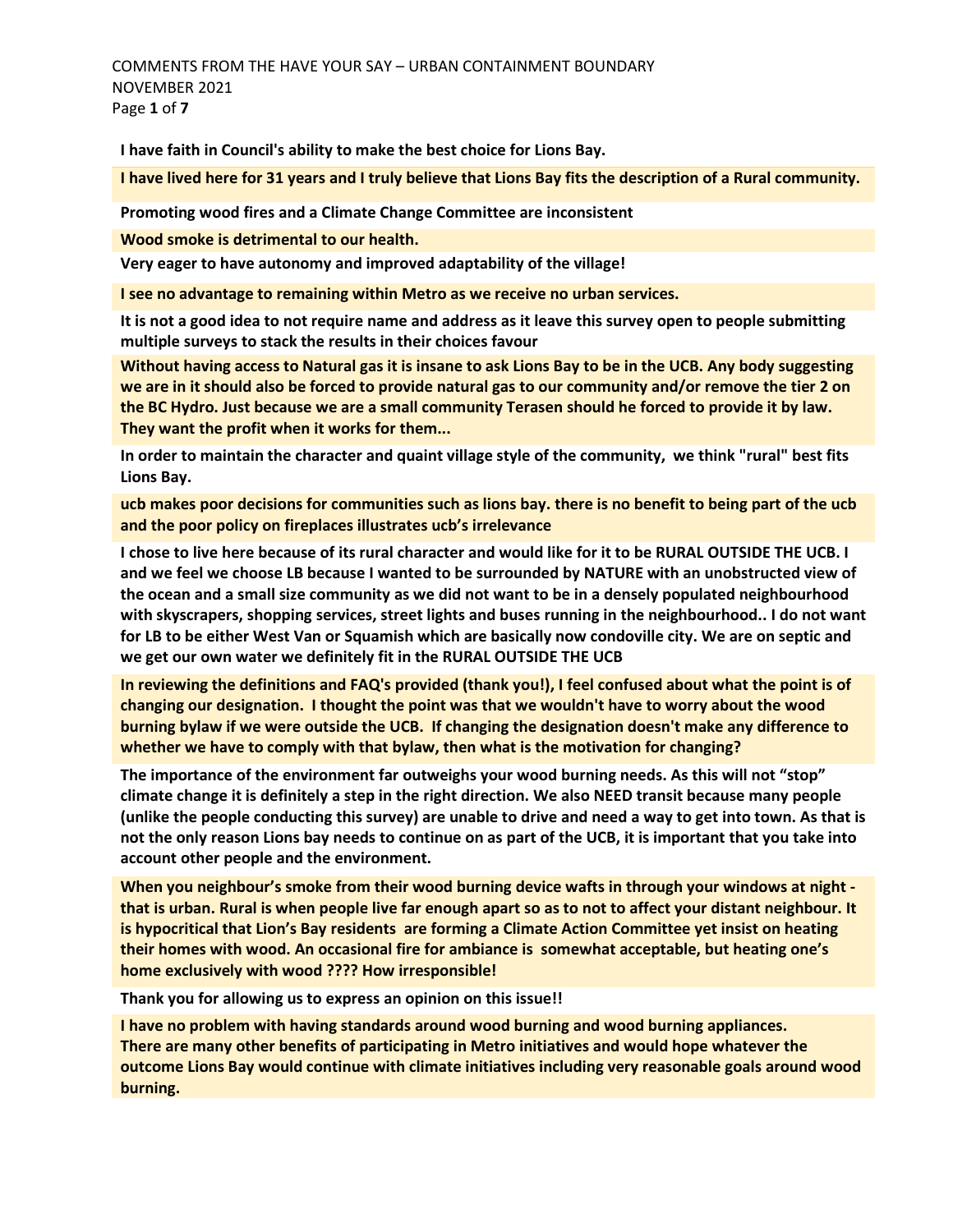COMMENTS FROM THE HAVE YOUR SAY – URBAN CONTAINMENT BOUNDARY NOVEMBER 2021 Page **1** of **7** 

**I have faith in Council's ability to make the best choice for Lions Bay.**

**I have lived here for 31 years and I truly believe that Lions Bay fits the description of a Rural community.**

**Promoting wood fires and a Climate Change Committee are inconsistent** 

**Wood smoke is detrimental to our health.** 

**Very eager to have autonomy and improved adaptability of the village!**

**I see no advantage to remaining within Metro as we receive no urban services.**

**It is not a good idea to not require name and address as it leave this survey open to people submitting multiple surveys to stack the results in their choices favour**

**Without having access to Natural gas it is insane to ask Lions Bay to be in the UCB. Any body suggesting we are in it should also be forced to provide natural gas to our community and/or remove the tier 2 on the BC Hydro. Just because we are a small community Terasen should he forced to provide it by law. They want the profit when it works for them...**

**In order to maintain the character and quaint village style of the community, we think "rural" best fits Lions Bay.** 

**ucb makes poor decisions for communities such as lions bay. there is no benefit to being part of the ucb and the poor policy on fireplaces illustrates ucb's irrelevance** 

**I chose to live here because of its rural character and would like for it to be RURAL OUTSIDE THE UCB. I and we feel we choose LB because I wanted to be surrounded by NATURE with an unobstructed view of the ocean and a small size community as we did not want to be in a densely populated neighbourhood with skyscrapers, shopping services, street lights and buses running in the neighbourhood.. I do not want for LB to be either West Van or Squamish which are basically now condoville city. We are on septic and we get our own water we definitely fit in the RURAL OUTSIDE THE UCB**

**In reviewing the definitions and FAQ's provided (thank you!), I feel confused about what the point is of changing our designation. I thought the point was that we wouldn't have to worry about the wood burning bylaw if we were outside the UCB. If changing the designation doesn't make any difference to whether we have to comply with that bylaw, then what is the motivation for changing?** 

**The importance of the environment far outweighs your wood burning needs. As this will not "stop" climate change it is definitely a step in the right direction. We also NEED transit because many people (unlike the people conducting this survey) are unable to drive and need a way to get into town. As that is not the only reason Lions bay needs to continue on as part of the UCB, it is important that you take into account other people and the environment.**

**When you neighbour's smoke from their wood burning device wafts in through your windows at night that is urban. Rural is when people live far enough apart so as to not to affect your distant neighbour. It is hypocritical that Lion's Bay residents are forming a Climate Action Committee yet insist on heating their homes with wood. An occasional fire for ambiance is somewhat acceptable, but heating one's home exclusively with wood ???? How irresponsible!** 

**Thank you for allowing us to express an opinion on this issue!!**

**I have no problem with having standards around wood burning and wood burning appliances. There are many other benefits of participating in Metro initiatives and would hope whatever the outcome Lions Bay would continue with climate initiatives including very reasonable goals around wood burning.**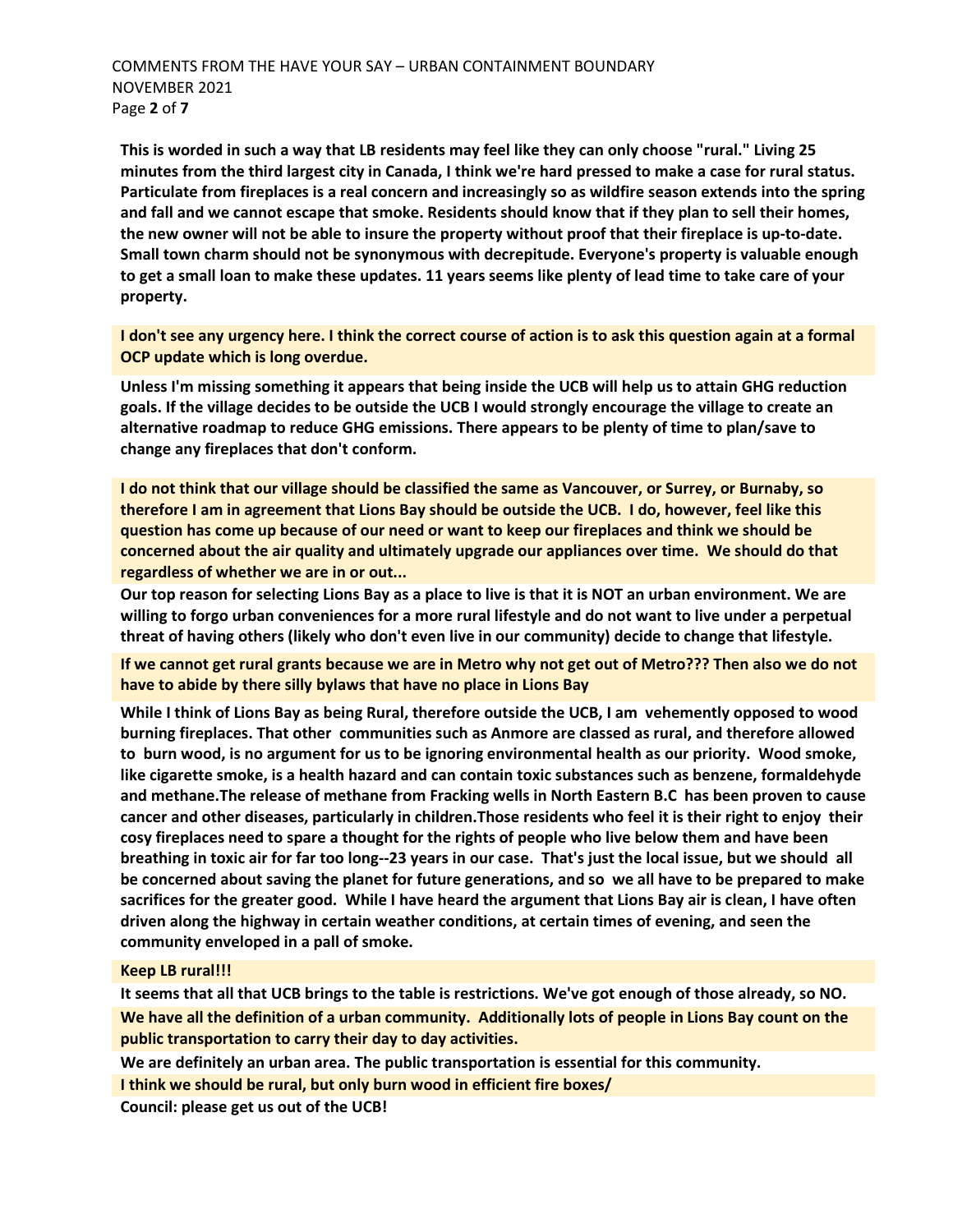**This is worded in such a way that LB residents may feel like they can only choose "rural." Living 25 minutes from the third largest city in Canada, I think we're hard pressed to make a case for rural status. Particulate from fireplaces is a real concern and increasingly so as wildfire season extends into the spring and fall and we cannot escape that smoke. Residents should know that if they plan to sell their homes, the new owner will not be able to insure the property without proof that their fireplace is up-to-date. Small town charm should not be synonymous with decrepitude. Everyone's property is valuable enough to get a small loan to make these updates. 11 years seems like plenty of lead time to take care of your property.** 

**I don't see any urgency here. I think the correct course of action is to ask this question again at a formal OCP update which is long overdue.**

**Unless I'm missing something it appears that being inside the UCB will help us to attain GHG reduction goals. If the village decides to be outside the UCB I would strongly encourage the village to create an alternative roadmap to reduce GHG emissions. There appears to be plenty of time to plan/save to change any fireplaces that don't conform.**

**I do not think that our village should be classified the same as Vancouver, or Surrey, or Burnaby, so therefore I am in agreement that Lions Bay should be outside the UCB. I do, however, feel like this question has come up because of our need or want to keep our fireplaces and think we should be concerned about the air quality and ultimately upgrade our appliances over time. We should do that regardless of whether we are in or out...**

**Our top reason for selecting Lions Bay as a place to live is that it is NOT an urban environment. We are willing to forgo urban conveniences for a more rural lifestyle and do not want to live under a perpetual threat of having others (likely who don't even live in our community) decide to change that lifestyle.**

**If we cannot get rural grants because we are in Metro why not get out of Metro??? Then also we do not have to abide by there silly bylaws that have no place in Lions Bay**

**While I think of Lions Bay as being Rural, therefore outside the UCB, I am vehemently opposed to wood burning fireplaces. That other communities such as Anmore are classed as rural, and therefore allowed to burn wood, is no argument for us to be ignoring environmental health as our priority. Wood smoke, like cigarette smoke, is a health hazard and can contain toxic substances such as benzene, formaldehyde and methane.The release of methane from Fracking wells in North Eastern B.C has been proven to cause cancer and other diseases, particularly in children.Those residents who feel it is their right to enjoy their cosy fireplaces need to spare a thought for the rights of people who live below them and have been breathing in toxic air for far too long--23 years in our case. That's just the local issue, but we should all be concerned about saving the planet for future generations, and so we all have to be prepared to make sacrifices for the greater good. While I have heard the argument that Lions Bay air is clean, I have often driven along the highway in certain weather conditions, at certain times of evening, and seen the community enveloped in a pall of smoke.**

#### **Keep LB rural!!!**

**It seems that all that UCB brings to the table is restrictions. We've got enough of those already, so NO. We have all the definition of a urban community. Additionally lots of people in Lions Bay count on the public transportation to carry their day to day activities.** 

**We are definitely an urban area. The public transportation is essential for this community.**

**I think we should be rural, but only burn wood in efficient fire boxes/**

**Council: please get us out of the UCB!**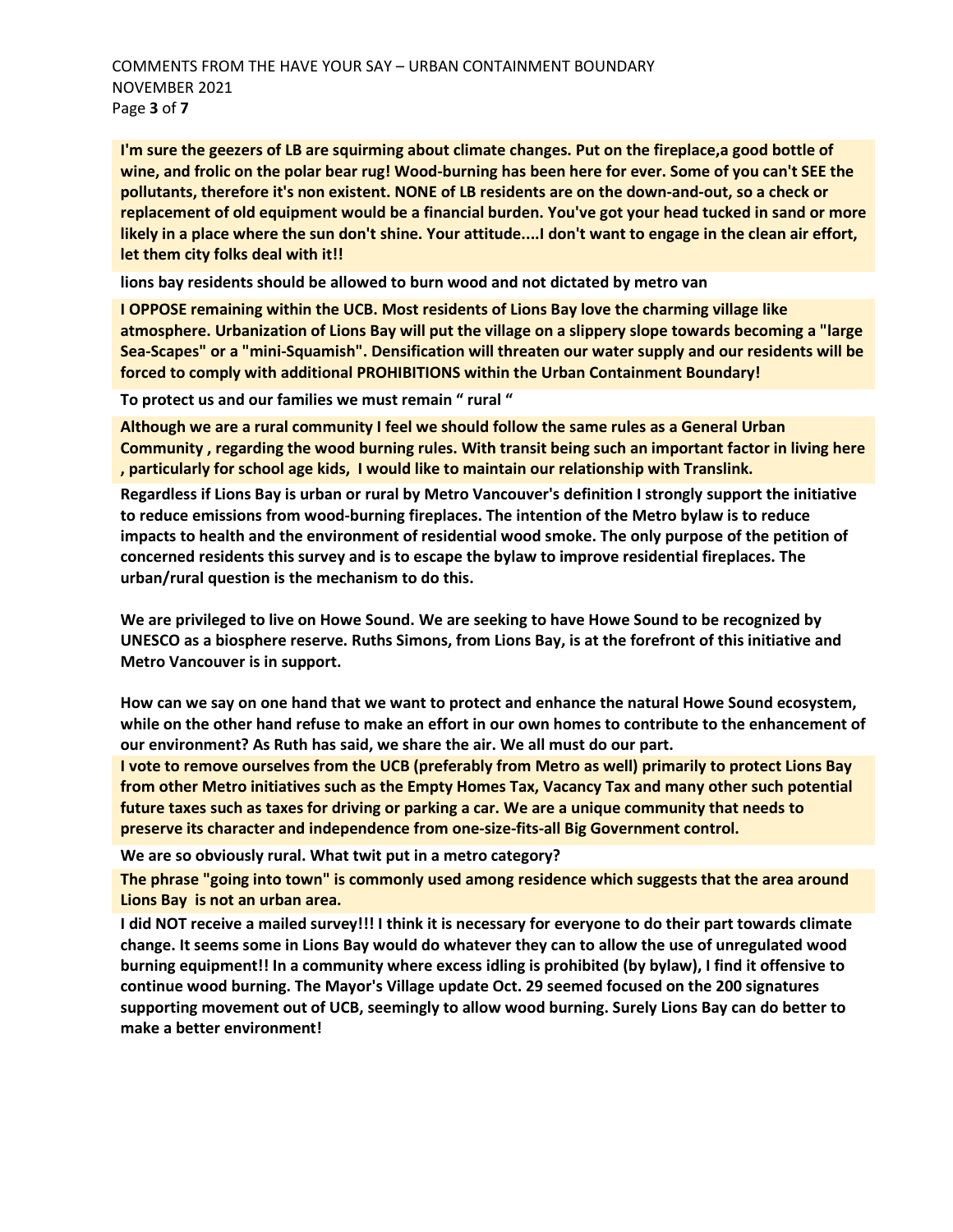**I'm sure the geezers of LB are squirming about climate changes. Put on the fireplace,a good bottle of wine, and frolic on the polar bear rug! Wood-burning has been here for ever. Some of you can't SEE the pollutants, therefore it's non existent. NONE of LB residents are on the down-and-out, so a check or replacement of old equipment would be a financial burden. You've got your head tucked in sand or more likely in a place where the sun don't shine. Your attitude....I don't want to engage in the clean air effort, let them city folks deal with it!!**

**lions bay residents should be allowed to burn wood and not dictated by metro van**

**I OPPOSE remaining within the UCB. Most residents of Lions Bay love the charming village like atmosphere. Urbanization of Lions Bay will put the village on a slippery slope towards becoming a "large Sea-Scapes" or a "mini-Squamish". Densification will threaten our water supply and our residents will be forced to comply with additional PROHIBITIONS within the Urban Containment Boundary!** 

**To protect us and our families we must remain " rural "**

**Although we are a rural community I feel we should follow the same rules as a General Urban Community , regarding the wood burning rules. With transit being such an important factor in living here , particularly for school age kids, I would like to maintain our relationship with Translink.**

**Regardless if Lions Bay is urban or rural by Metro Vancouver's definition I strongly support the initiative to reduce emissions from wood-burning fireplaces. The intention of the Metro bylaw is to reduce impacts to health and the environment of residential wood smoke. The only purpose of the petition of concerned residents this survey and is to escape the bylaw to improve residential fireplaces. The urban/rural question is the mechanism to do this.** 

**We are privileged to live on Howe Sound. We are seeking to have Howe Sound to be recognized by UNESCO as a biosphere reserve. Ruths Simons, from Lions Bay, is at the forefront of this initiative and Metro Vancouver is in support.**

**How can we say on one hand that we want to protect and enhance the natural Howe Sound ecosystem, while on the other hand refuse to make an effort in our own homes to contribute to the enhancement of our environment? As Ruth has said, we share the air. We all must do our part.**

**I vote to remove ourselves from the UCB (preferably from Metro as well) primarily to protect Lions Bay from other Metro initiatives such as the Empty Homes Tax, Vacancy Tax and many other such potential future taxes such as taxes for driving or parking a car. We are a unique community that needs to preserve its character and independence from one-size-fits-all Big Government control.**

**We are so obviously rural. What twit put in a metro category?**

**The phrase "going into town" is commonly used among residence which suggests that the area around Lions Bay is not an urban area.**

**I did NOT receive a mailed survey!!! I think it is necessary for everyone to do their part towards climate change. It seems some in Lions Bay would do whatever they can to allow the use of unregulated wood burning equipment!! In a community where excess idling is prohibited (by bylaw), I find it offensive to continue wood burning. The Mayor's Village update Oct. 29 seemed focused on the 200 signatures supporting movement out of UCB, seemingly to allow wood burning. Surely Lions Bay can do better to make a better environment!**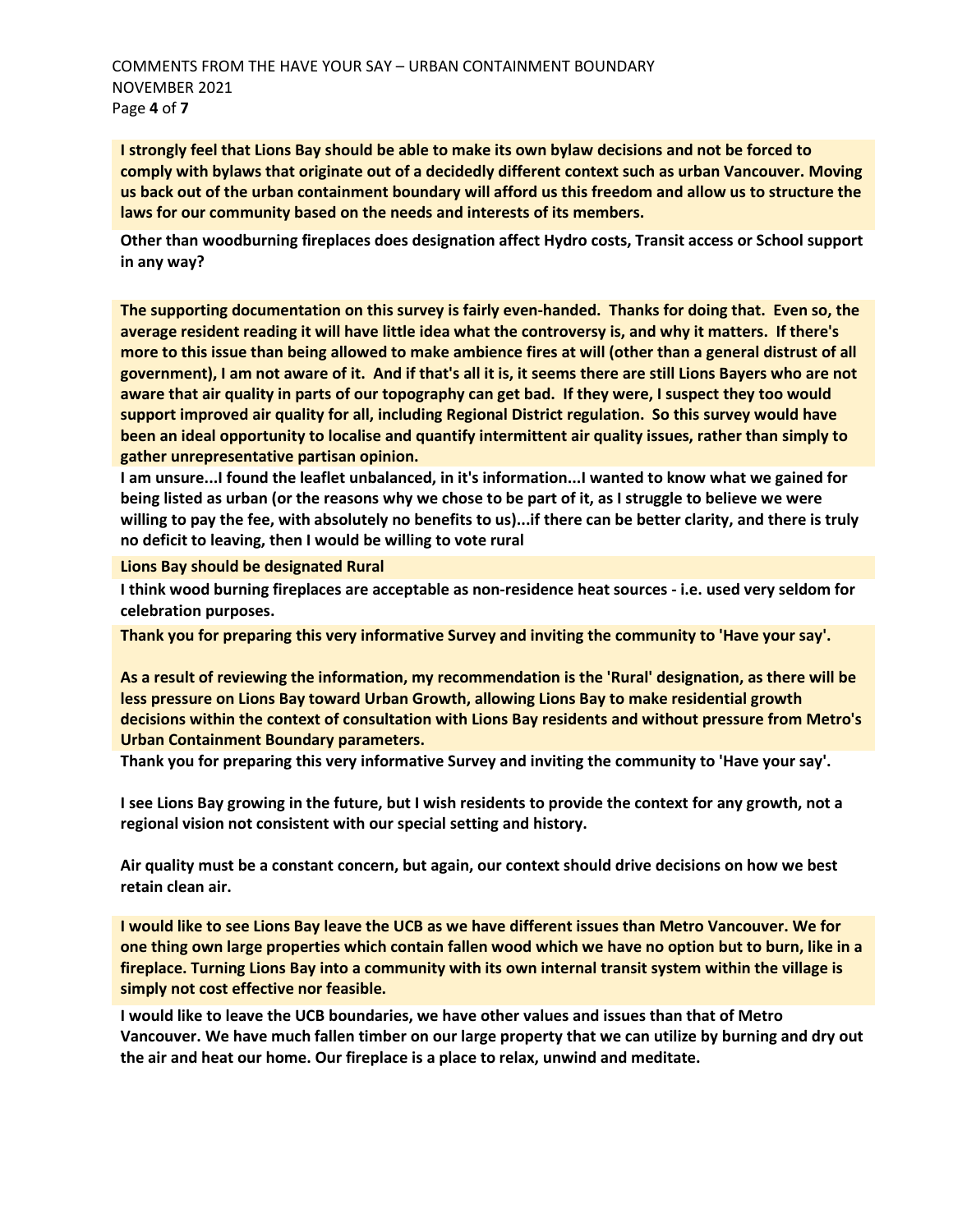COMMENTS FROM THE HAVE YOUR SAY – URBAN CONTAINMENT BOUNDARY NOVEMBER 2021 Page **4** of **7** 

**I strongly feel that Lions Bay should be able to make its own bylaw decisions and not be forced to comply with bylaws that originate out of a decidedly different context such as urban Vancouver. Moving us back out of the urban containment boundary will afford us this freedom and allow us to structure the laws for our community based on the needs and interests of its members.**

**Other than woodburning fireplaces does designation affect Hydro costs, Transit access or School support in any way?** 

**The supporting documentation on this survey is fairly even-handed. Thanks for doing that. Even so, the average resident reading it will have little idea what the controversy is, and why it matters. If there's more to this issue than being allowed to make ambience fires at will (other than a general distrust of all government), I am not aware of it. And if that's all it is, it seems there are still Lions Bayers who are not aware that air quality in parts of our topography can get bad. If they were, I suspect they too would support improved air quality for all, including Regional District regulation. So this survey would have been an ideal opportunity to localise and quantify intermittent air quality issues, rather than simply to gather unrepresentative partisan opinion.** 

**I am unsure...I found the leaflet unbalanced, in it's information...I wanted to know what we gained for being listed as urban (or the reasons why we chose to be part of it, as I struggle to believe we were willing to pay the fee, with absolutely no benefits to us)...if there can be better clarity, and there is truly no deficit to leaving, then I would be willing to vote rural**

**Lions Bay should be designated Rural**

**I think wood burning fireplaces are acceptable as non-residence heat sources - i.e. used very seldom for celebration purposes.**

**Thank you for preparing this very informative Survey and inviting the community to 'Have your say'.**

**As a result of reviewing the information, my recommendation is the 'Rural' designation, as there will be less pressure on Lions Bay toward Urban Growth, allowing Lions Bay to make residential growth decisions within the context of consultation with Lions Bay residents and without pressure from Metro's Urban Containment Boundary parameters.**

**Thank you for preparing this very informative Survey and inviting the community to 'Have your say'.**

**I see Lions Bay growing in the future, but I wish residents to provide the context for any growth, not a regional vision not consistent with our special setting and history.** 

**Air quality must be a constant concern, but again, our context should drive decisions on how we best retain clean air.** 

**I would like to see Lions Bay leave the UCB as we have different issues than Metro Vancouver. We for one thing own large properties which contain fallen wood which we have no option but to burn, like in a fireplace. Turning Lions Bay into a community with its own internal transit system within the village is simply not cost effective nor feasible.** 

**I would like to leave the UCB boundaries, we have other values and issues than that of Metro Vancouver. We have much fallen timber on our large property that we can utilize by burning and dry out the air and heat our home. Our fireplace is a place to relax, unwind and meditate.**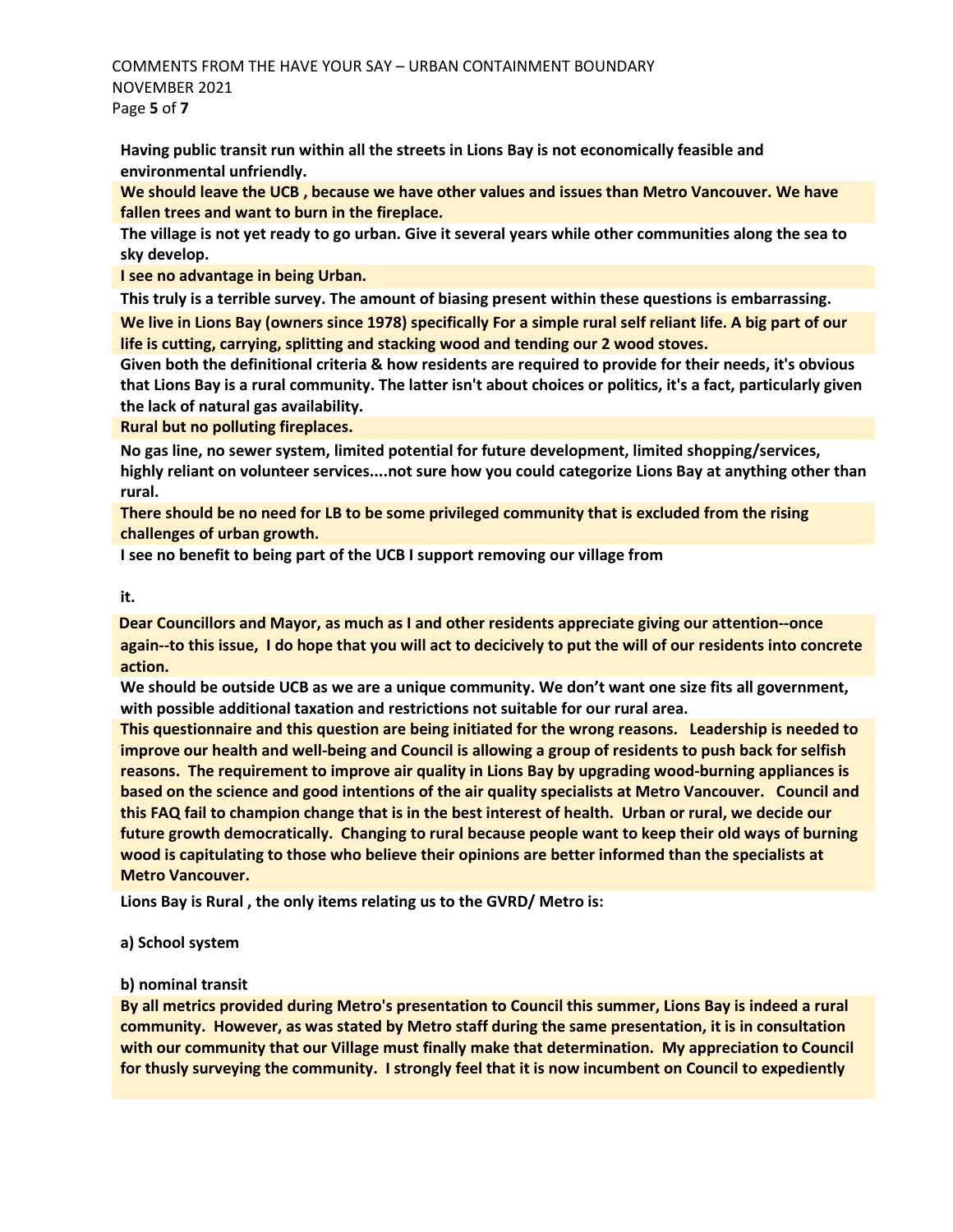COMMENTS FROM THE HAVE YOUR SAY – URBAN CONTAINMENT BOUNDARY NOVEMBER 2021 Page **5** of **7** 

**Having public transit run within all the streets in Lions Bay is not economically feasible and environmental unfriendly.**

**We should leave the UCB , because we have other values and issues than Metro Vancouver. We have fallen trees and want to burn in the fireplace.** 

**The village is not yet ready to go urban. Give it several years while other communities along the sea to sky develop.** 

**I see no advantage in being Urban.**

**This truly is a terrible survey. The amount of biasing present within these questions is embarrassing. We live in Lions Bay (owners since 1978) specifically For a simple rural self reliant life. A big part of our life is cutting, carrying, splitting and stacking wood and tending our 2 wood stoves.**

**Given both the definitional criteria & how residents are required to provide for their needs, it's obvious that Lions Bay is a rural community. The latter isn't about choices or politics, it's a fact, particularly given the lack of natural gas availability.**

**Rural but no polluting fireplaces.**

**No gas line, no sewer system, limited potential for future development, limited shopping/services, highly reliant on volunteer services....not sure how you could categorize Lions Bay at anything other than rural.**

**There should be no need for LB to be some privileged community that is excluded from the rising challenges of urban growth.**

**I see no benefit to being part of the UCB I support removing our village from** 

#### **it.**

**Dear Councillors and Mayor, as much as I and other residents appreciate giving our attention--once again--to this issue, I do hope that you will act to decicively to put the will of our residents into concrete action.** 

**We should be outside UCB as we are a unique community. We don't want one size fits all government, with possible additional taxation and restrictions not suitable for our rural area.** 

**This questionnaire and this question are being initiated for the wrong reasons. Leadership is needed to improve our health and well-being and Council is allowing a group of residents to push back for selfish reasons. The requirement to improve air quality in Lions Bay by upgrading wood-burning appliances is based on the science and good intentions of the air quality specialists at Metro Vancouver. Council and this FAQ fail to champion change that is in the best interest of health. Urban or rural, we decide our future growth democratically. Changing to rural because people want to keep their old ways of burning wood is capitulating to those who believe their opinions are better informed than the specialists at Metro Vancouver.**

**Lions Bay is Rural , the only items relating us to the GVRD/ Metro is:** 

### **a) School system**

### **b) nominal transit**

**By all metrics provided during Metro's presentation to Council this summer, Lions Bay is indeed a rural community. However, as was stated by Metro staff during the same presentation, it is in consultation with our community that our Village must finally make that determination. My appreciation to Council for thusly surveying the community. I strongly feel that it is now incumbent on Council to expediently**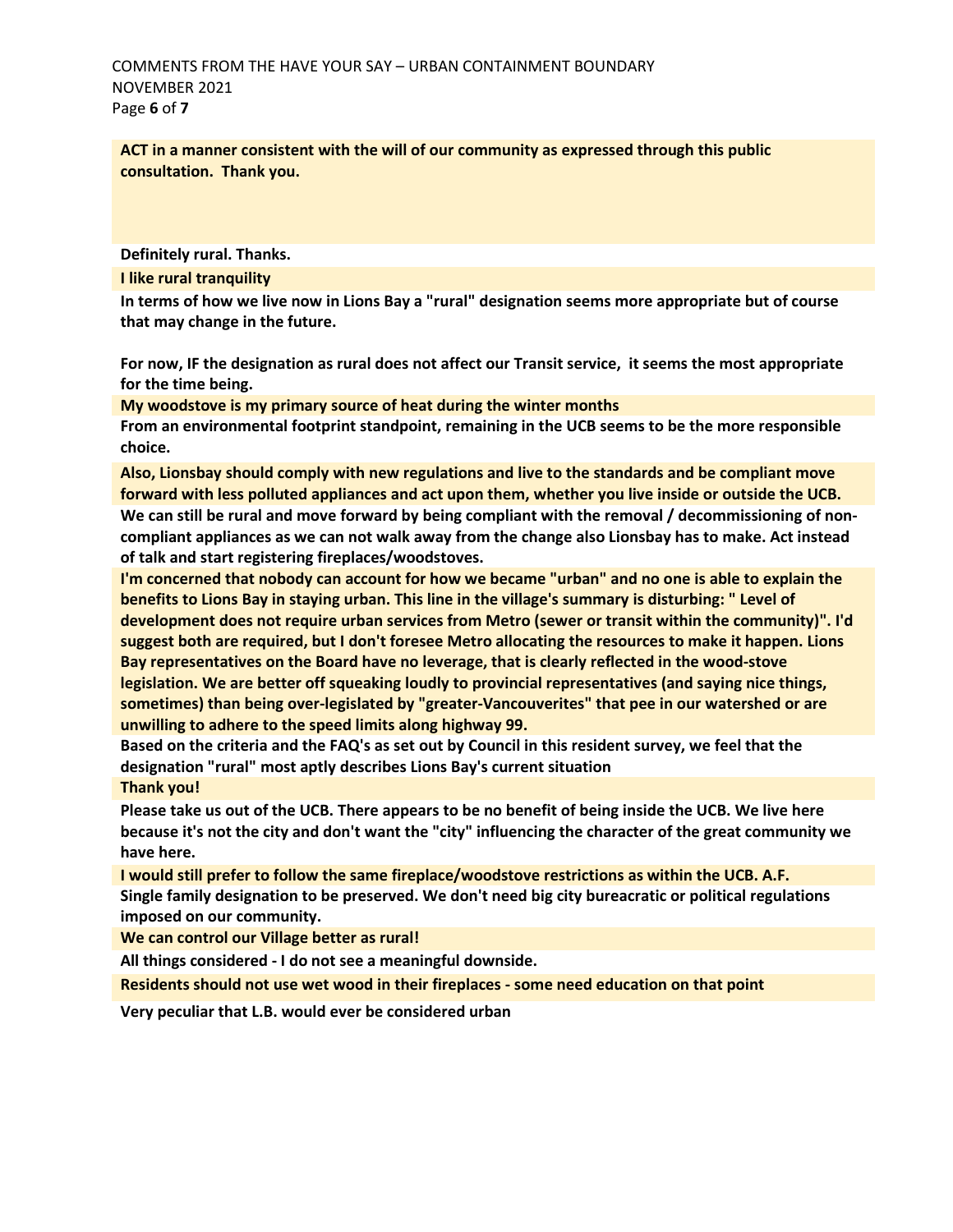**ACT in a manner consistent with the will of our community as expressed through this public consultation. Thank you.**

**Definitely rural. Thanks.**

**I like rural tranquility**

**In terms of how we live now in Lions Bay a "rural" designation seems more appropriate but of course that may change in the future.** 

**For now, IF the designation as rural does not affect our Transit service, it seems the most appropriate for the time being.**

**My woodstove is my primary source of heat during the winter months**

**From an environmental footprint standpoint, remaining in the UCB seems to be the more responsible choice.**

**Also, Lionsbay should comply with new regulations and live to the standards and be compliant move forward with less polluted appliances and act upon them, whether you live inside or outside the UCB. We can still be rural and move forward by being compliant with the removal / decommissioning of noncompliant appliances as we can not walk away from the change also Lionsbay has to make. Act instead of talk and start registering fireplaces/woodstoves.** 

**I'm concerned that nobody can account for how we became "urban" and no one is able to explain the benefits to Lions Bay in staying urban. This line in the village's summary is disturbing: " Level of development does not require urban services from Metro (sewer or transit within the community)". I'd suggest both are required, but I don't foresee Metro allocating the resources to make it happen. Lions Bay representatives on the Board have no leverage, that is clearly reflected in the wood-stove legislation. We are better off squeaking loudly to provincial representatives (and saying nice things, sometimes) than being over-legislated by "greater-Vancouverites" that pee in our watershed or are unwilling to adhere to the speed limits along highway 99.** 

**Based on the criteria and the FAQ's as set out by Council in this resident survey, we feel that the designation "rural" most aptly describes Lions Bay's current situation Thank you!**

**Please take us out of the UCB. There appears to be no benefit of being inside the UCB. We live here because it's not the city and don't want the "city" influencing the character of the great community we have here.** 

**I would still prefer to follow the same fireplace/woodstove restrictions as within the UCB. A.F. Single family designation to be preserved. We don't need big city bureacratic or political regulations imposed on our community.** 

**We can control our Village better as rural!**

**All things considered - I do not see a meaningful downside.** 

**Residents should not use wet wood in their fireplaces - some need education on that point**

**Very peculiar that L.B. would ever be considered urban**